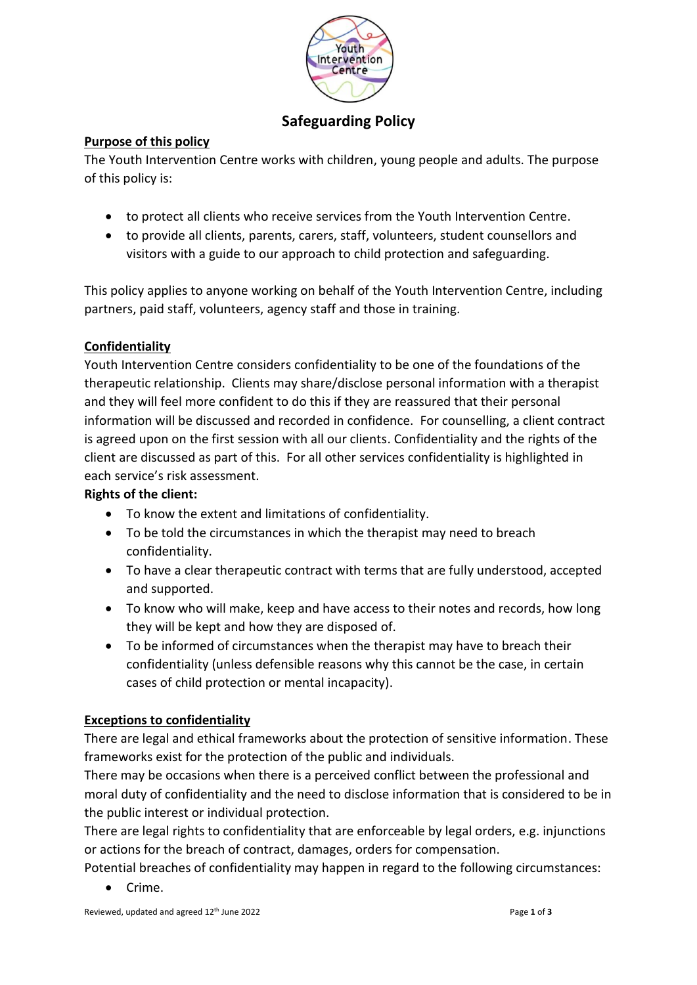

# **Safeguarding Policy**

#### **Purpose of this policy**

The Youth Intervention Centre works with children, young people and adults. The purpose of this policy is:

- to protect all clients who receive services from the Youth Intervention Centre.
- to provide all clients, parents, carers, staff, volunteers, student counsellors and visitors with a guide to our approach to child protection and safeguarding.

This policy applies to anyone working on behalf of the Youth Intervention Centre, including partners, paid staff, volunteers, agency staff and those in training.

# **Confidentiality**

Youth Intervention Centre considers confidentiality to be one of the foundations of the therapeutic relationship. Clients may share/disclose personal information with a therapist and they will feel more confident to do this if they are reassured that their personal information will be discussed and recorded in confidence. For counselling, a client contract is agreed upon on the first session with all our clients. Confidentiality and the rights of the client are discussed as part of this. For all other services confidentiality is highlighted in each service's risk assessment.

### **Rights of the client:**

- To know the extent and limitations of confidentiality.
- To be told the circumstances in which the therapist may need to breach confidentiality.
- To have a clear therapeutic contract with terms that are fully understood, accepted and supported.
- To know who will make, keep and have access to their notes and records, how long they will be kept and how they are disposed of.
- To be informed of circumstances when the therapist may have to breach their confidentiality (unless defensible reasons why this cannot be the case, in certain cases of child protection or mental incapacity).

# **Exceptions to confidentiality**

There are legal and ethical frameworks about the protection of sensitive information. These frameworks exist for the protection of the public and individuals.

There may be occasions when there is a perceived conflict between the professional and moral duty of confidentiality and the need to disclose information that is considered to be in the public interest or individual protection.

There are legal rights to confidentiality that are enforceable by legal orders, e.g. injunctions or actions for the breach of contract, damages, orders for compensation.

Potential breaches of confidentiality may happen in regard to the following circumstances:

• Crime.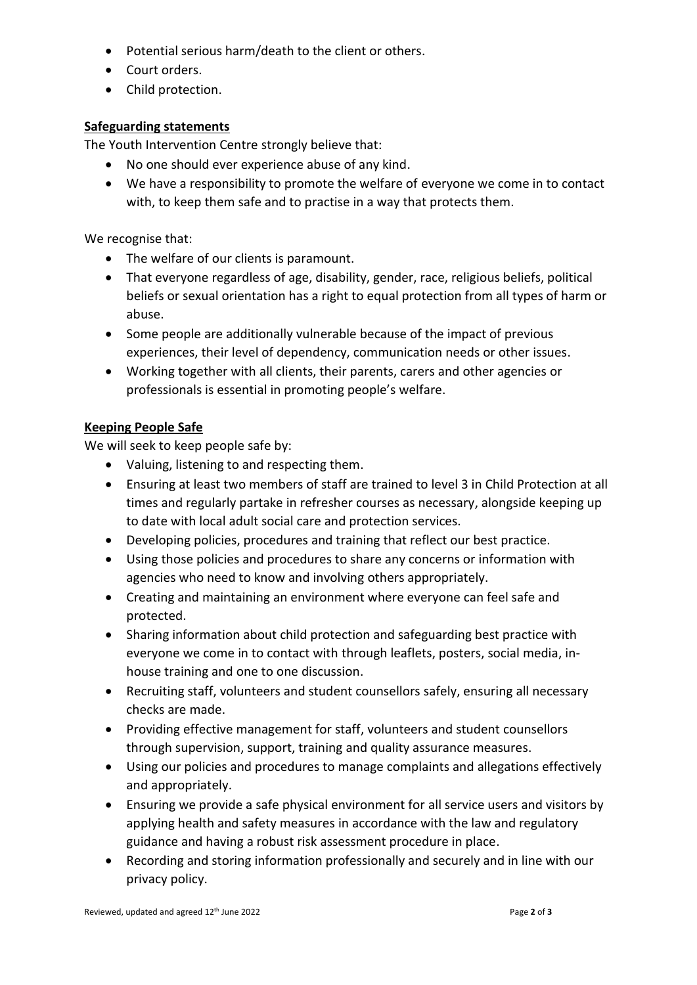- Potential serious harm/death to the client or others.
- Court orders.
- Child protection.

### **Safeguarding statements**

The Youth Intervention Centre strongly believe that:

- No one should ever experience abuse of any kind.
- We have a responsibility to promote the welfare of everyone we come in to contact with, to keep them safe and to practise in a way that protects them.

We recognise that:

- The welfare of our clients is paramount.
- That everyone regardless of age, disability, gender, race, religious beliefs, political beliefs or sexual orientation has a right to equal protection from all types of harm or abuse.
- Some people are additionally vulnerable because of the impact of previous experiences, their level of dependency, communication needs or other issues.
- Working together with all clients, their parents, carers and other agencies or professionals is essential in promoting people's welfare.

# **Keeping People Safe**

We will seek to keep people safe by:

- Valuing, listening to and respecting them.
- Ensuring at least two members of staff are trained to level 3 in Child Protection at all times and regularly partake in refresher courses as necessary, alongside keeping up to date with local adult social care and protection services.
- Developing policies, procedures and training that reflect our best practice.
- Using those policies and procedures to share any concerns or information with agencies who need to know and involving others appropriately.
- Creating and maintaining an environment where everyone can feel safe and protected.
- Sharing information about child protection and safeguarding best practice with everyone we come in to contact with through leaflets, posters, social media, inhouse training and one to one discussion.
- Recruiting staff, volunteers and student counsellors safely, ensuring all necessary checks are made.
- Providing effective management for staff, volunteers and student counsellors through supervision, support, training and quality assurance measures.
- Using our policies and procedures to manage complaints and allegations effectively and appropriately.
- Ensuring we provide a safe physical environment for all service users and visitors by applying health and safety measures in accordance with the law and regulatory guidance and having a robust risk assessment procedure in place.
- Recording and storing information professionally and securely and in line with our privacy policy.